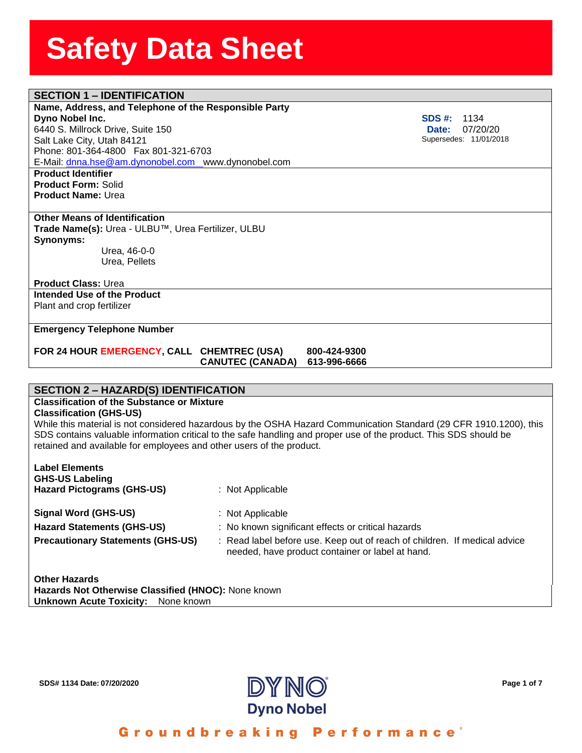## **SECTION 1 – IDENTIFICATION**

#### **Name, Address, and Telephon**<br>**Dyno Nobel Inc.**<br>6440 S. Millrock Drive, Suite 150 **Name, Address, and Telephone of the Responsible Party Dyno Nobel Inc.**

Salt Lake City, Utah 84121 Phone: 801-364-4800 Fax 801-321-6703 E-Mail: [dnna.hse@am.dynonobel.com](mailto:dnna.hse@am.dynonobel.com) www.dynonobel.com

**Product Identifier Product Form:** Solid **Product Name:** Urea

#### **Other Means of Identification**

**Trade Name(s):** Urea - ULBU™, Urea Fertilizer, ULBU **Synonyms:**  Urea, 46-0-0

Urea, Pellets

#### **Product Class:** Urea

**Intended Use of the Product** Plant and crop fertilizer

#### **Emergency Telephone Number**

#### **FOR 24 HOUR EMERGENCY, CALL CHEMTREC (USA) 800-424-9300 CANUTEC (CANADA) 613-996-6666**

#### **SECTION 2 – HAZARD(S) IDENTIFICATION**

#### **Classification of the Substance or Mixture**

#### **Classification (GHS-US)**

While this material is not considered hazardous by the OSHA Hazard Communication Standard (29 CFR 1910.1200), this SDS contains valuable information critical to the safe handling and proper use of the product. This SDS should be retained and available for employees and other users of the product.

| <b>Label Elements</b><br><b>GHS-US Labeling</b> |                                                                                                                               |
|-------------------------------------------------|-------------------------------------------------------------------------------------------------------------------------------|
| <b>Hazard Pictograms (GHS-US)</b>               | $:$ Not Applicable                                                                                                            |
| <b>Signal Word (GHS-US)</b>                     | : Not Applicable                                                                                                              |
| <b>Hazard Statements (GHS-US)</b>               | : No known significant effects or critical hazards                                                                            |
| <b>Precautionary Statements (GHS-US)</b>        | : Read label before use. Keep out of reach of children. If medical advice<br>needed, have product container or label at hand. |
| <b>Other Hazards</b>                            |                                                                                                                               |

**Hazards Not Otherwise Classified (HNOC):** None known **Unknown Acute Toxicity:** None known



**SDS #:** 1134  **Date:** 07/20/20 Supersedes: 11/01/2018

Groundbreaking Performance<sup>®</sup>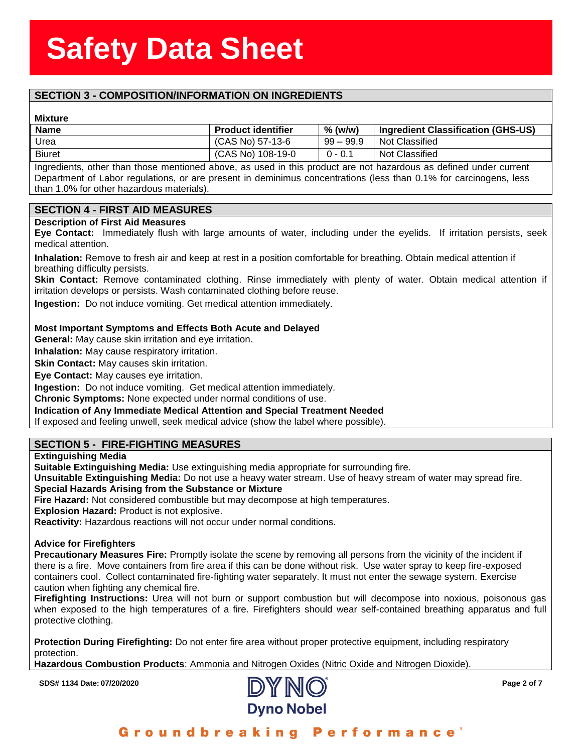## **SECTION 3 - COMPOSITION/INFORMATION ON INGREDIENTS**

#### **Mixture**

| <b>Mixture</b> |                           |             |                                    |
|----------------|---------------------------|-------------|------------------------------------|
| <b>Name</b>    | <b>Product identifier</b> | $%$ (w/w)   | Ingredient Classification (GHS-US) |
| Urea           | (CAS No) 57-13-6          | $99 - 99.9$ | Not Classified                     |
| <b>Biuret</b>  | (CAS No) 108-19-0         | $0 - 0.1$   | Not Classified                     |
|                |                           |             |                                    |

Ingredients, other than those mentioned above, as used in this product are not hazardous as defined under current Department of Labor regulations, or are present in deminimus concentrations (less than 0.1% for carcinogens, less than 1.0% for other hazardous materials).

#### **SECTION 4 - FIRST AID MEASURES**

#### **Description of First Aid Measures**

**Eye Contact:** Immediately flush with large amounts of water, including under the eyelids. If irritation persists, seek medical attention.

**Inhalation:** Remove to fresh air and keep at rest in a position comfortable for breathing. Obtain medical attention if breathing difficulty persists.

**Skin Contact:** Remove contaminated clothing. Rinse immediately with plenty of water. Obtain medical attention if irritation develops or persists. Wash contaminated clothing before reuse.

**Ingestion:** Do not induce vomiting. Get medical attention immediately.

#### **Most Important Symptoms and Effects Both Acute and Delayed**

**General:** May cause skin irritation and eye irritation.

**Inhalation:** May cause respiratory irritation.

**Skin Contact:** May causes skin irritation.

**Eye Contact:** May causes eye irritation.

**Ingestion:** Do not induce vomiting. Get medical attention immediately.

**Chronic Symptoms:** None expected under normal conditions of use.

**Indication of Any Immediate Medical Attention and Special Treatment Needed**

If exposed and feeling unwell, seek medical advice (show the label where possible).

#### **SECTION 5 - FIRE-FIGHTING MEASURES**

#### **Extinguishing Media**

**Suitable Extinguishing Media:** Use extinguishing media appropriate for surrounding fire.

**Unsuitable Extinguishing Media:** Do not use a heavy water stream. Use of heavy stream of water may spread fire. **Special Hazards Arising from the Substance or Mixture**

**Fire Hazard:** Not considered combustible but may decompose at high temperatures.

**Explosion Hazard:** Product is not explosive.

**Reactivity:** Hazardous reactions will not occur under normal conditions.

#### **Advice for Firefighters**

**Precautionary Measures Fire:** Promptly isolate the scene by removing all persons from the vicinity of the incident if there is a fire. Move containers from fire area if this can be done without risk. Use water spray to keep fire-exposed containers cool. Collect contaminated fire-fighting water separately. It must not enter the sewage system. Exercise caution when fighting any chemical fire.

**Firefighting Instructions:** Urea will not burn or support combustion but will decompose into noxious, poisonous gas when exposed to the high temperatures of a fire. Firefighters should wear self-contained breathing apparatus and full protective clothing.

**Protection During Firefighting:** Do not enter fire area without proper protective equipment, including respiratory protection.

**Hazardous Combustion Products**: Ammonia and Nitrogen Oxides (Nitric Oxide and Nitrogen Dioxide).

**SDS# 1134 Date: 07/20/2020 Page 2 of 7**



Groundbreaking **Performance**<sup>®</sup>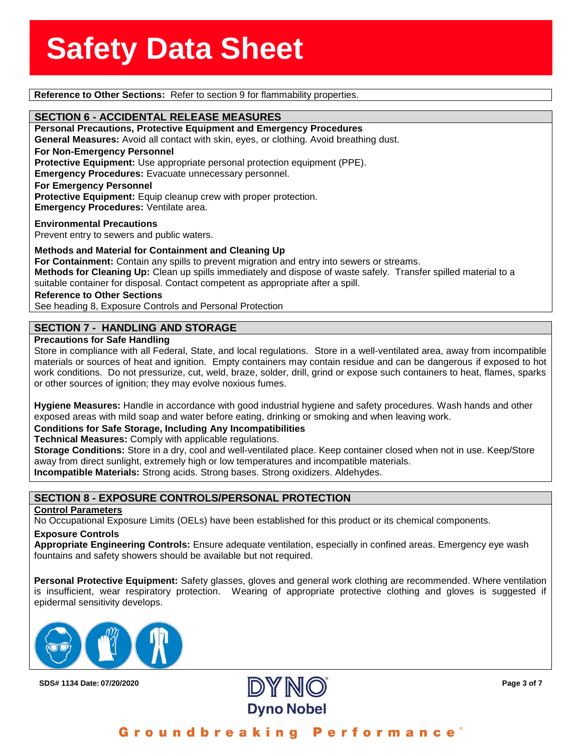**Reference to Other Sections:** Refer to section 9 for flammability properties.

**SECTION 6 - ACCIDENTAL RELEASE MEASURES**<br>Personal Precautions, Protective Equipment and Emerg **Personal Precautions, Protective Equipment and Emergency Procedures General Measures:** Avoid all contact with skin, eyes, or clothing. Avoid breathing dust. **For Non-Emergency Personnel Protective Equipment:** Use appropriate personal protection equipment (PPE). **Emergency Procedures:** Evacuate unnecessary personnel. **For Emergency Personnel** Protective Equipment: Equip cleanup crew with proper protection. **Emergency Procedures:** Ventilate area.

**Environmental Precautions** Prevent entry to sewers and public waters.

**Methods and Material for Containment and Cleaning Up**

**For Containment:** Contain any spills to prevent migration and entry into sewers or streams. **Methods for Cleaning Up:** Clean up spills immediately and dispose of waste safely. Transfer spilled material to a suitable container for disposal. Contact competent as appropriate after a spill.

**Reference to Other Sections**

See heading 8, Exposure Controls and Personal Protection

#### **SECTION 7 - HANDLING AND STORAGE**

#### **Precautions for Safe Handling**

Store in compliance with all Federal, State, and local regulations. Store in a well-ventilated area, away from incompatible materials or sources of heat and ignition. Empty containers may contain residue and can be dangerous if exposed to hot work conditions. Do not pressurize, cut, weld, braze, solder, drill, grind or expose such containers to heat, flames, sparks or other sources of ignition; they may evolve noxious fumes.

**Hygiene Measures:** Handle in accordance with good industrial hygiene and safety procedures. Wash hands and other exposed areas with mild soap and water before eating, drinking or smoking and when leaving work.

#### **Conditions for Safe Storage, Including Any Incompatibilities**

**Technical Measures:** Comply with applicable regulations.

**Storage Conditions:** Store in a dry, cool and well-ventilated place. Keep container closed when not in use. Keep/Store away from direct sunlight, extremely high or low temperatures and incompatible materials.

**Incompatible Materials:** Strong acids. Strong bases. Strong oxidizers. Aldehydes.

#### **SECTION 8 - EXPOSURE CONTROLS/PERSONAL PROTECTION**

#### **Control Parameters**

No Occupational Exposure Limits (OELs) have been established for this product or its chemical components.

#### **Exposure Controls**

**Appropriate Engineering Controls:** Ensure adequate ventilation, especially in confined areas. Emergency eye wash fountains and safety showers should be available but not required.

**Personal Protective Equipment:** Safety glasses, gloves and general work clothing are recommended. Where ventilation is insufficient, wear respiratory protection. Wearing of appropriate protective clothing and gloves is suggested if epidermal sensitivity develops.



**SDS# 1134 Date: 07/20/2020 Page 3 of 7**



Groundbreaking **Performance**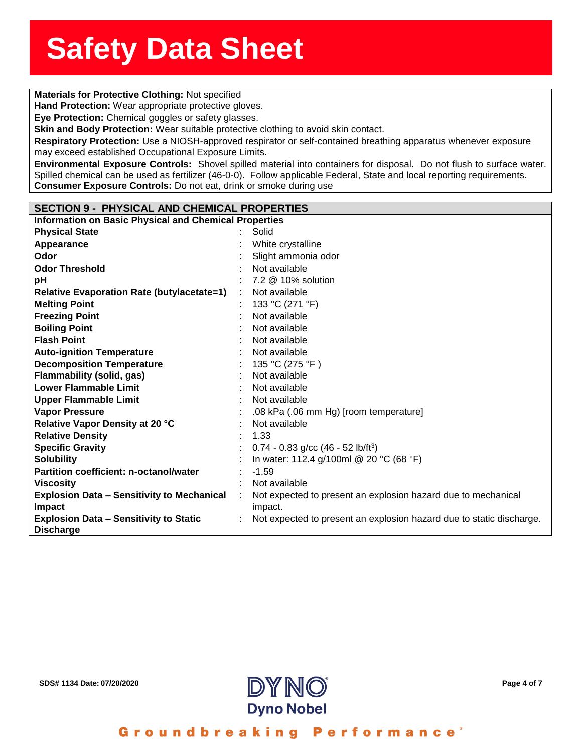**Solution**<br> **Materials for Protective Clothing:** Not specified

**Hand Protection:** Wear appropriate protective gloves.

**Eye Protection:** Chemical goggles or safety glasses.

**nd Protection:** Wear appro<br>**e Protection:** Chemical gog<br>i<mark>n and Body Protection:</mark> W **Skin and Body Protection:** Wear suitable protective clothing to avoid skin contact.

**Respiratory Protection:** Use a NIOSH-approved respirator or self-contained breathing apparatus whenever exposure may exceed established Occupational Exposure Limits.

**Environmental Exposure Controls:** Shovel spilled material into containers for disposal. Do not flush to surface water. Spilled chemical can be used as fertilizer (46-0-0). Follow applicable Federal, State and local reporting requirements. **Consumer Exposure Controls:** Do not eat, drink or smoke during use

| <b>Pollowing Exposure Song Side</b> Bo not oal, animit of onlone admig acc |                                                                     |
|----------------------------------------------------------------------------|---------------------------------------------------------------------|
|                                                                            |                                                                     |
| <b>SECTION 9 - PHYSICAL AND CHEMICAL PROPERTIES</b>                        |                                                                     |
| <b>Information on Basic Physical and Chemical Properties</b>               |                                                                     |
| <b>Physical State</b>                                                      | Solid                                                               |
| Appearance                                                                 | White crystalline                                                   |
| Odor                                                                       | Slight ammonia odor                                                 |
| <b>Odor Threshold</b>                                                      | Not available                                                       |
| pН                                                                         | 7.2 @ 10% solution                                                  |
| <b>Relative Evaporation Rate (butylacetate=1)</b>                          | Not available                                                       |
| <b>Melting Point</b>                                                       | 133 °C (271 °F)                                                     |
| <b>Freezing Point</b>                                                      | Not available                                                       |
| <b>Boiling Point</b>                                                       | Not available                                                       |
| <b>Flash Point</b>                                                         | Not available                                                       |
| <b>Auto-ignition Temperature</b>                                           | Not available                                                       |
| <b>Decomposition Temperature</b>                                           | 135 °C (275 °F)                                                     |
| Flammability (solid, gas)                                                  | Not available                                                       |
| <b>Lower Flammable Limit</b>                                               | Not available                                                       |
| <b>Upper Flammable Limit</b>                                               | Not available                                                       |
| <b>Vapor Pressure</b>                                                      | .08 kPa (.06 mm Hg) [room temperature]                              |
| Relative Vapor Density at 20 °C                                            | Not available                                                       |
| <b>Relative Density</b>                                                    | 1.33                                                                |
| <b>Specific Gravity</b>                                                    | $0.74 - 0.83$ g/cc (46 - 52 lb/ft <sup>3</sup> )                    |
| <b>Solubility</b>                                                          | In water: 112.4 g/100ml @ 20 °C (68 °F)                             |
| Partition coefficient: n-octanol/water                                     | $-1.59$                                                             |
| Viscosity                                                                  | Not available                                                       |
| <b>Explosion Data - Sensitivity to Mechanical</b>                          | Not expected to present an explosion hazard due to mechanical       |
| <b>Impact</b>                                                              | impact.                                                             |
| <b>Explosion Data - Sensitivity to Static</b>                              | Not expected to present an explosion hazard due to static dischara- |
| <b>Discharge</b>                                                           |                                                                     |



discharge.

Groundbreaking **Performance**<sup>®</sup>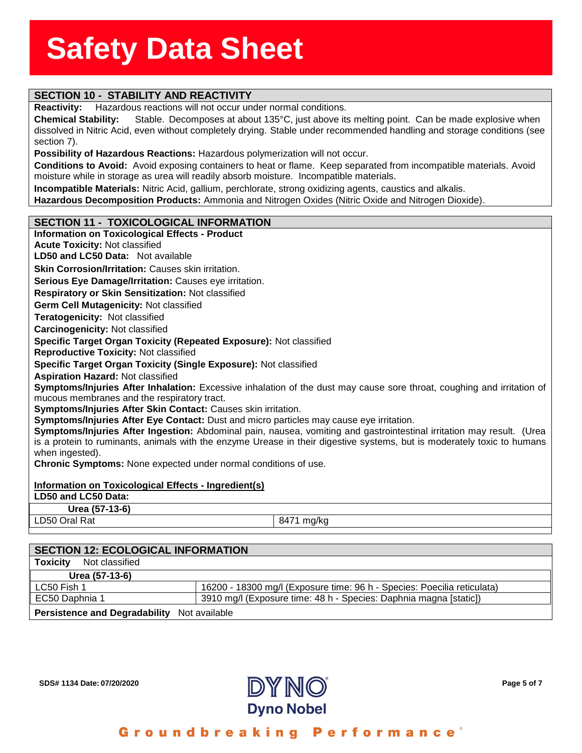## **SECTION 10 - STABILITY AND REACTIVITY**

**Reactivity:** Hazardous reactions will not occur under normal conditions.

**Reactivity:** Hazardous reactions will not occur under normal conditions.<br>**Chemical Stability:** Stable. Decomposes at about 135°C, just above its melting point. Can be made explosive when<br>dissolved in Nitric Aci **Chemical Stability:** Stable. Decomposes at about 135°C, just above its melting point. Can be made explosive when section 7).

**Possibility of Hazardous Reactions:** Hazardous polymerization will not occur.

**Conditions to Avoid:** Avoid exposing containers to heat or flame. Keep separated from incompatible materials. Avoid moisture while in storage as urea will readily absorb moisture. Incompatible materials.

**Incompatible Materials:** Nitric Acid, gallium, perchlorate, strong oxidizing agents, caustics and alkalis.

**Hazardous Decomposition Products:** Ammonia and Nitrogen Oxides (Nitric Oxide and Nitrogen Dioxide).

#### **SECTION 11 - TOXICOLOGICAL INFORMATION**

### **Information on Toxicological Effects - Product Acute Toxicity:** Not classified **LD50 and LC50 Data:** Not available**Skin Corrosion/Irritation: Causes skin irritation. Serious Eye Damage/Irritation:** Causes eye irritation. **Respiratory or Skin Sensitization:** Not classified **Germ Cell Mutagenicity:** Not classified**Teratogenicity:** Not classified**Carcinogenicity:** Not classified **Specific Target Organ Toxicity (Repeated Exposure):** Not classified **Reproductive Toxicity:** Not classified **Specific Target Organ Toxicity (Single Exposure):** Not classified **Aspiration Hazard:** Not classified **Symptoms/Injuries After Inhalation:** Excessive inhalation of the dust may cause sore throat, coughing and irritation of mucous membranes and the respiratory tract. **Symptoms/Injuries After Skin Contact:** Causes skin irritation. **Symptoms/Injuries After Eye Contact:** Dust and micro particles may cause eye irritation. **Symptoms/Injuries After Ingestion:** Abdominal pain, nausea, vomiting and gastrointestinal irritation may result. (Urea is a protein to ruminants, animals with the enzyme Urease in their digestive systems, but is moderately toxic to humans when ingested). **Chronic Symptoms:** None expected under normal conditions of use. **Information on Toxicological Effects - Ingredient(s) LD50 and LC50 Data: Urea (57-13-6)** LD50 Oral Rat 8471 mg/kg

| <b>SECTION 12: ECOLOGICAL INFORMATION</b>   |                                                                         |  |  |
|---------------------------------------------|-------------------------------------------------------------------------|--|--|
| Not classified<br><b>Toxicity</b>           |                                                                         |  |  |
| Urea (57-13-6)                              |                                                                         |  |  |
| LC50 Fish 1                                 | 16200 - 18300 mg/l (Exposure time: 96 h - Species: Poecilia reticulata) |  |  |
| EC50 Daphnia 1                              | 3910 mg/l (Exposure time: 48 h - Species: Daphnia magna [static])       |  |  |
| Persistence and Degradability Not available |                                                                         |  |  |

**SDS# 1134 Date: 07/20/2020 Page 5 of 7**



Groundbreaking Performance'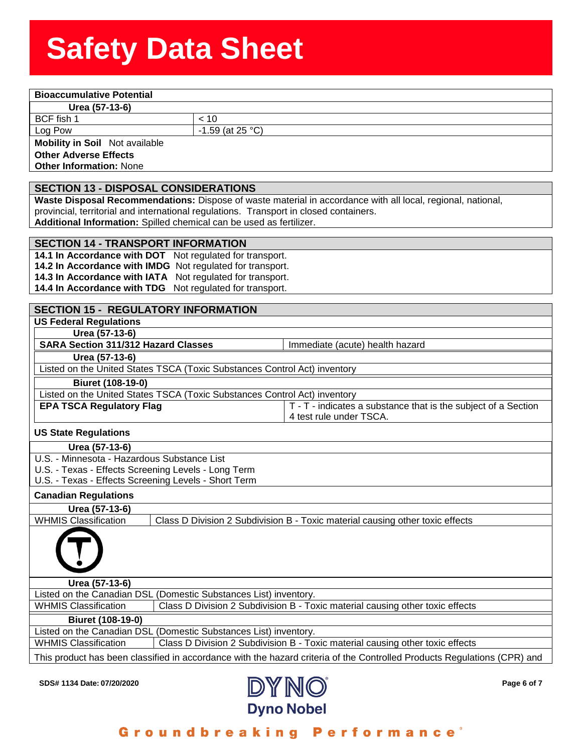## **Solution Stephen Stephen Stephen Stephen Stephen Stephen Stephen Stephen Stephen Stephen Stephen Stephen Stephen<br>Product Stephen Stephen Stephen Stephen Stephen Stephen Stephen Stephen Stephen Stephen Stephen Stephen Step**

**<u>Eest (57-13-6)</u><br>Feedball 1<br>The Pow** 

BCF fish 1  $\vert$  < 10

Log Pow  $\vert$  -1.59 (at 25 °C)

**Mobility in Soil** Not available **Other Adverse Effects**

**Other Information:** None

### **SECTION 13 - DISPOSAL CONSIDERATIONS**

**Waste Disposal Recommendations:** Dispose of waste material in accordance with all local, regional, national, provincial, territorial and international regulations. Transport in closed containers.

**Additional Information:** Spilled chemical can be used as fertilizer.

#### **SECTION 14 - TRANSPORT INFORMATION**

**14.1 In Accordance with DOT** Not regulated for transport. **14.2 In Accordance with IMDG** Not regulated for transport. **14.3 In Accordance with IATA** Not regulated for transport. **14.4 In Accordance with TDG** Not regulated for transport.

#### **SECTION 15 - REGULATORY INFORMATION**

**US Federal Regulations**

**Urea (57-13-6) SARA Section 311/312 Hazard Classes** Immediate (acute) health hazard

#### **Urea (57-13-6)**

Listed on the United States TSCA (Toxic Substances Control Act) inventory

#### **Biuret (108-19-0)**

| Listed on the United States TSCA (Toxic Substances Control Act) inventory |                                                                |  |  |  |
|---------------------------------------------------------------------------|----------------------------------------------------------------|--|--|--|
| <b>EPA TSCA Regulatory Flag</b>                                           | T - T - indicates a substance that is the subject of a Section |  |  |  |
|                                                                           | 4 test rule under TSCA.                                        |  |  |  |

#### **US State Regulations**

- **Urea (57-13-6)**
- U.S. Minnesota Hazardous Substance List
- U.S. Texas Effects Screening Levels Long Term
- U.S. Texas Effects Screening Levels Short Term

#### **Canadian Regulations**

| <b>Canadian Regulations</b> |                                                                               |
|-----------------------------|-------------------------------------------------------------------------------|
| Urea (57-13-6)              |                                                                               |
| <b>WHMIS Classification</b> | Class D Division 2 Subdivision B - Toxic material causing other toxic effects |
|                             |                                                                               |
| Urea (57-13-6)              |                                                                               |
|                             | Listed on the Canadian DSL (Domestic Substances List) inventory.              |
| <b>WHMIS Classification</b> | Class D Division 2 Subdivision B - Toxic material causing other toxic effects |
| Biuret (108-19-0)           |                                                                               |

Listed on the Canadian DSL (Domestic Substances List) inventory. WHMIS Classification **Class D Division 2 Subdivision B - Toxic material causing other toxic effects** 

This product has been classified in accordance with the hazard criteria of the Controlled Products Regulations (CPR) and

**SDS# 1134 Date: 07/20/2020 Page 6 of 7**



Groundbreaking Performance'